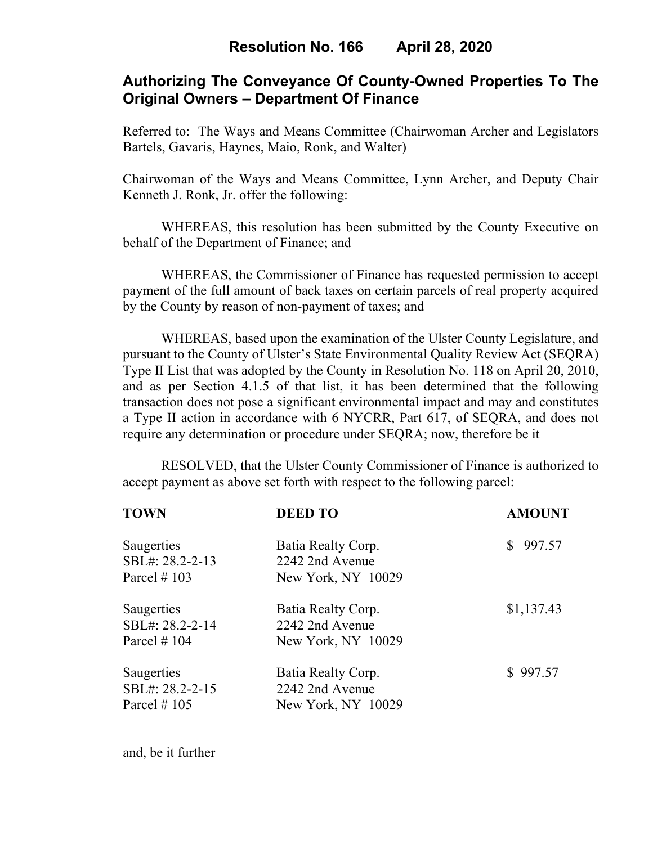# **Authorizing The Conveyance Of County-Owned Properties To The Original Owners – Department Of Finance**

Referred to: The Ways and Means Committee (Chairwoman Archer and Legislators Bartels, Gavaris, Haynes, Maio, Ronk, and Walter)

Chairwoman of the Ways and Means Committee, Lynn Archer, and Deputy Chair Kenneth J. Ronk, Jr. offer the following:

WHEREAS, this resolution has been submitted by the County Executive on behalf of the Department of Finance; and

 WHEREAS, the Commissioner of Finance has requested permission to accept payment of the full amount of back taxes on certain parcels of real property acquired by the County by reason of non-payment of taxes; and

WHEREAS, based upon the examination of the Ulster County Legislature, and pursuant to the County of Ulster's State Environmental Quality Review Act (SEQRA) Type II List that was adopted by the County in Resolution No. 118 on April 20, 2010, and as per Section 4.1.5 of that list, it has been determined that the following transaction does not pose a significant environmental impact and may and constitutes a Type II action in accordance with 6 NYCRR, Part 617, of SEQRA, and does not require any determination or procedure under SEQRA; now, therefore be it

 RESOLVED, that the Ulster County Commissioner of Finance is authorized to accept payment as above set forth with respect to the following parcel:

| <b>TOWN</b>     | <b>DEED TO</b>     | <b>AMOUNT</b> |
|-----------------|--------------------|---------------|
| Saugerties      | Batia Realty Corp. | \$997.57      |
| SBL#: 28.2-2-13 | 2242 2nd Avenue    |               |
| Parcel $\#$ 103 | New York, NY 10029 |               |
| Saugerties      | Batia Realty Corp. | \$1,137.43    |
| SBL#: 28.2-2-14 | 2242 2nd Avenue    |               |
| Parcel $# 104$  | New York, NY 10029 |               |
| Saugerties      | Batia Realty Corp. | \$997.57      |
| SBL#: 28.2-2-15 | 2242 2nd Avenue    |               |
| Parcel $\#$ 105 | New York, NY 10029 |               |
|                 |                    |               |

and, be it further